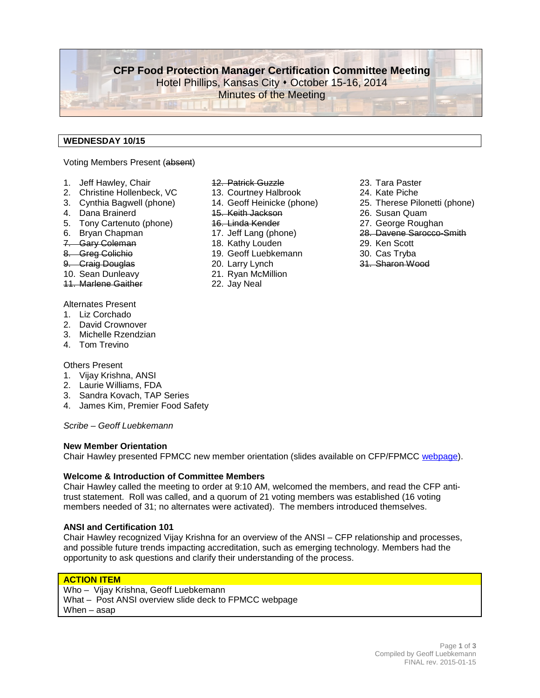**CFP Food Protection Manager Certification Committee Meeting** Hotel Phillips, Kansas City • October 15-16, 2014 Minutes of the Meeting

### **WEDNESDAY 10/15**

#### Voting Members Present (absent)

- 1. Jeff Hawley, Chair
- 2. Christine Hollenbeck, VC
- 3. Cynthia Bagwell (phone)
- 4. Dana Brainerd
- 5. Tony Cartenuto (phone)
- 6. Bryan Chapman
- 7. Gary Coleman
- 8. Greg Colichio
- 9. Craig Douglas
- 10. Sean Dunleavy
- 11. Marlene Gaither
- Alternates Present
- 1. Liz Corchado
- 2. David Crownover
- 3. Michelle Rzendzian
- 4. Tom Trevino

#### Others Present

- 1. Vijay Krishna, ANSI
- 2. Laurie Williams, FDA
- 3. Sandra Kovach, TAP Series
- 4. James Kim, Premier Food Safety

*Scribe – Geoff Luebkemann*

#### **New Member Orientation**

Chair Hawley presented FPMCC new member orientation (slides available on CFP/FPMCC [webpage\)](http://foodprotect.org/manager-certification/).

#### **Welcome & Introduction of Committee Members**

Chair Hawley called the meeting to order at 9:10 AM, welcomed the members, and read the CFP antitrust statement. Roll was called, and a quorum of 21 voting members was established (16 voting members needed of 31; no alternates were activated). The members introduced themselves.

#### **ANSI and Certification 101**

Chair Hawley recognized Vijay Krishna for an overview of the ANSI – CFP relationship and processes, and possible future trends impacting accreditation, such as emerging technology. Members had the opportunity to ask questions and clarify their understanding of the process.

#### **ACTION ITEM**

Who – Vijay Krishna, Geoff Luebkemann What – Post ANSI overview slide deck to FPMCC webpage When – asap

- 12. Patrick Guzzle
- 13. Courtney Halbrook
- 14. Geoff Heinicke (phone)
- 15. Keith Jackson
- 16. Linda Kender
- 17. Jeff Lang (phone)
- 18. Kathy Louden
- 19. Geoff Luebkemann
- 20. Larry Lynch
- 21. Ryan McMillion
- 22. Jay Neal
- 23. Tara Paster
- 24. Kate Piche
- 25. Therese Pilonetti (phone)
- 26. Susan Quam
- 27. George Roughan
- 28. Davene Sarocco-Smith
- 29. Ken Scott
- 30. Cas Tryba
- 31. Sharon Wood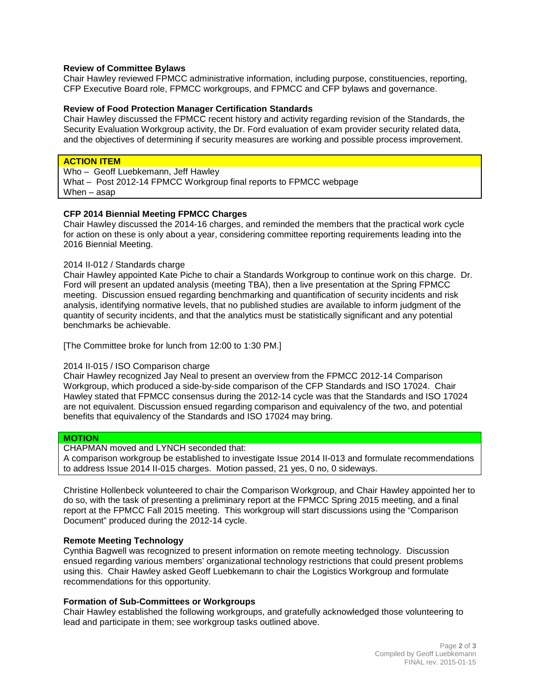#### **Review of Committee Bylaws**

Chair Hawley reviewed FPMCC administrative information, including purpose, constituencies, reporting, CFP Executive Board role, FPMCC workgroups, and FPMCC and CFP bylaws and governance.

#### **Review of Food Protection Manager Certification Standards**

Chair Hawley discussed the FPMCC recent history and activity regarding revision of the Standards, the Security Evaluation Workgroup activity, the Dr. Ford evaluation of exam provider security related data, and the objectives of determining if security measures are working and possible process improvement.

#### **ACTION ITEM**

Who – Geoff Luebkemann, Jeff Hawley

What – Post 2012-14 FPMCC Workgroup final reports to FPMCC webpage When – asap

#### **CFP 2014 Biennial Meeting FPMCC Charges**

Chair Hawley discussed the 2014-16 charges, and reminded the members that the practical work cycle for action on these is only about a year, considering committee reporting requirements leading into the 2016 Biennial Meeting.

#### 2014 II-012 / Standards charge

Chair Hawley appointed Kate Piche to chair a Standards Workgroup to continue work on this charge. Dr. Ford will present an updated analysis (meeting TBA), then a live presentation at the Spring FPMCC meeting. Discussion ensued regarding benchmarking and quantification of security incidents and risk analysis, identifying normative levels, that no published studies are available to inform judgment of the quantity of security incidents, and that the analytics must be statistically significant and any potential benchmarks be achievable.

[The Committee broke for lunch from 12:00 to 1:30 PM.]

#### 2014 II-015 / ISO Comparison charge

Chair Hawley recognized Jay Neal to present an overview from the FPMCC 2012-14 Comparison Workgroup, which produced a side-by-side comparison of the CFP Standards and ISO 17024. Chair Hawley stated that FPMCC consensus during the 2012-14 cycle was that the Standards and ISO 17024 are not equivalent. Discussion ensued regarding comparison and equivalency of the two, and potential benefits that equivalency of the Standards and ISO 17024 may bring.

#### **MOTION**

CHAPMAN moved and LYNCH seconded that:

A comparison workgroup be established to investigate Issue 2014 II-013 and formulate recommendations to address Issue 2014 II-015 charges. Motion passed, 21 yes, 0 no, 0 sideways.

Christine Hollenbeck volunteered to chair the Comparison Workgroup, and Chair Hawley appointed her to do so, with the task of presenting a preliminary report at the FPMCC Spring 2015 meeting, and a final report at the FPMCC Fall 2015 meeting. This workgroup will start discussions using the "Comparison Document" produced during the 2012-14 cycle.

#### **Remote Meeting Technology**

Cynthia Bagwell was recognized to present information on remote meeting technology. Discussion ensued regarding various members' organizational technology restrictions that could present problems using this. Chair Hawley asked Geoff Luebkemann to chair the Logistics Workgroup and formulate recommendations for this opportunity.

#### **Formation of Sub-Committees or Workgroups**

Chair Hawley established the following workgroups, and gratefully acknowledged those volunteering to lead and participate in them; see workgroup tasks outlined above.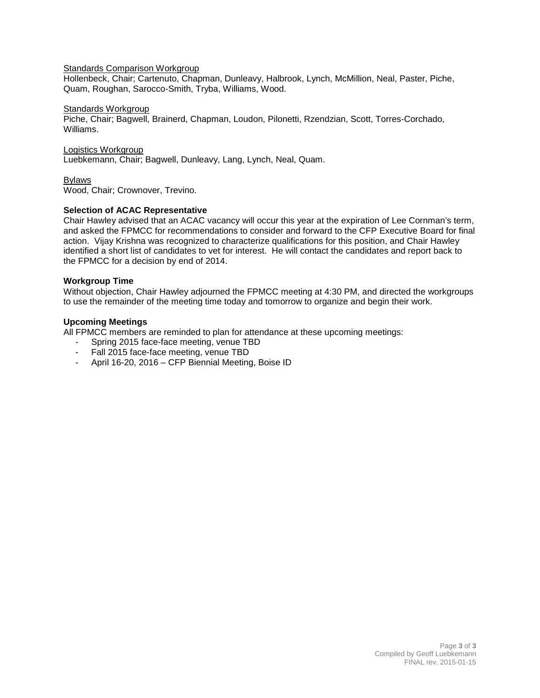#### Standards Comparison Workgroup

Hollenbeck, Chair; Cartenuto, Chapman, Dunleavy, Halbrook, Lynch, McMillion, Neal, Paster, Piche, Quam, Roughan, Sarocco-Smith, Tryba, Williams, Wood.

#### Standards Workgroup

Piche, Chair; Bagwell, Brainerd, Chapman, Loudon, Pilonetti, Rzendzian, Scott, Torres-Corchado, Williams.

#### Logistics Workgroup

Luebkemann, Chair; Bagwell, Dunleavy, Lang, Lynch, Neal, Quam.

#### Bylaws

Wood, Chair; Crownover, Trevino.

#### **Selection of ACAC Representative**

Chair Hawley advised that an ACAC vacancy will occur this year at the expiration of Lee Cornman's term, and asked the FPMCC for recommendations to consider and forward to the CFP Executive Board for final action. Vijay Krishna was recognized to characterize qualifications for this position, and Chair Hawley identified a short list of candidates to vet for interest. He will contact the candidates and report back to the FPMCC for a decision by end of 2014.

#### **Workgroup Time**

Without objection, Chair Hawley adjourned the FPMCC meeting at 4:30 PM, and directed the workgroups to use the remainder of the meeting time today and tomorrow to organize and begin their work.

#### **Upcoming Meetings**

All FPMCC members are reminded to plan for attendance at these upcoming meetings:

- Spring 2015 face-face meeting, venue TBD
- Fall 2015 face-face meeting, venue TBD
- April 16-20, 2016 CFP Biennial Meeting, Boise ID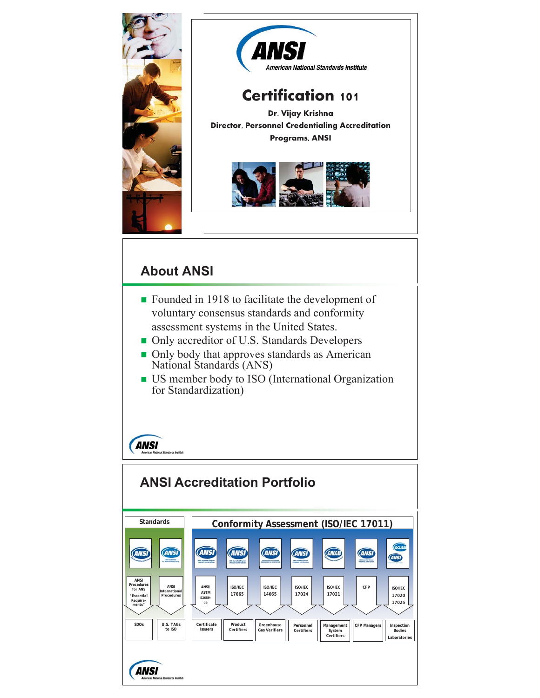

## **About ANSI**

- Founded in 1918 to facilitate the development of voluntary consensus standards and conformity assessment systems in the United States.
- $\blacksquare$  Only accreditor of U.S. Standards Developers
- Only body that approves standards as American National Standards (ANS)
- US member body to ISO (International Organization for Standardization)

# **ANSI**

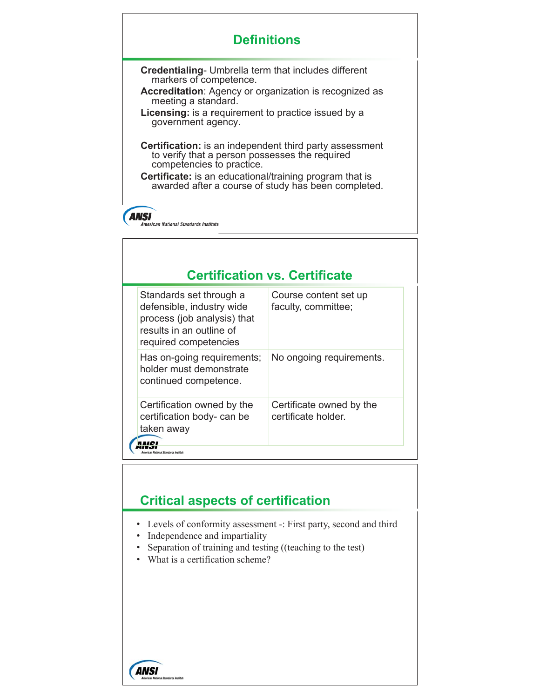## **Definitions**

**Credentialing**- Umbrella term that includes different markers of competence.

**Accreditation**: Agency or organization is recognized as meeting a standard.

**Licensing:** is a **r**equirement to practice issued by a government agency.

**Certification:** is an independent third party assessment to verify that a person possesses the required competencies to practice.

**Certificate:** is an educational/training program that is awarded after a course of study has been completed.

#### **ANSI** American National Standards Institute

### **Certification vs. Certificate**

| Course content set up<br>faculty, committee;    |
|-------------------------------------------------|
|                                                 |
| No ongoing requirements.                        |
| Certificate owned by the<br>certificate holder. |
|                                                 |

### **Critical aspects of certification**

- Levels of conformity assessment -: First party, second and third
- Independence and impartiality
- Separation of training and testing ((teaching to the test)
- What is a certification scheme?

**ANSI**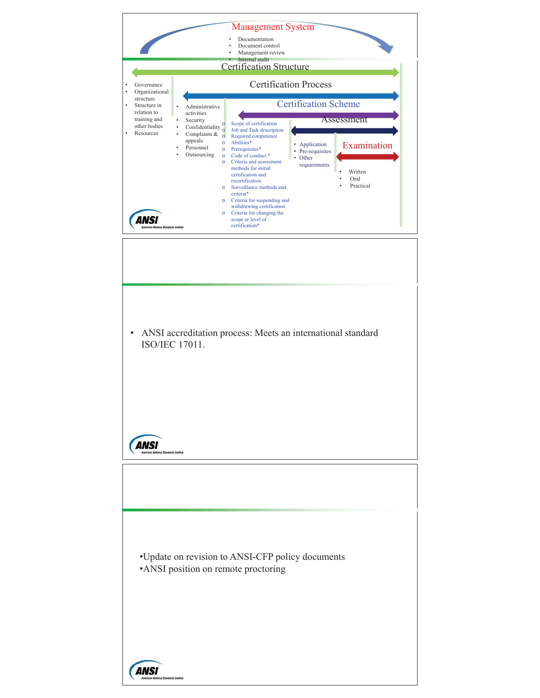